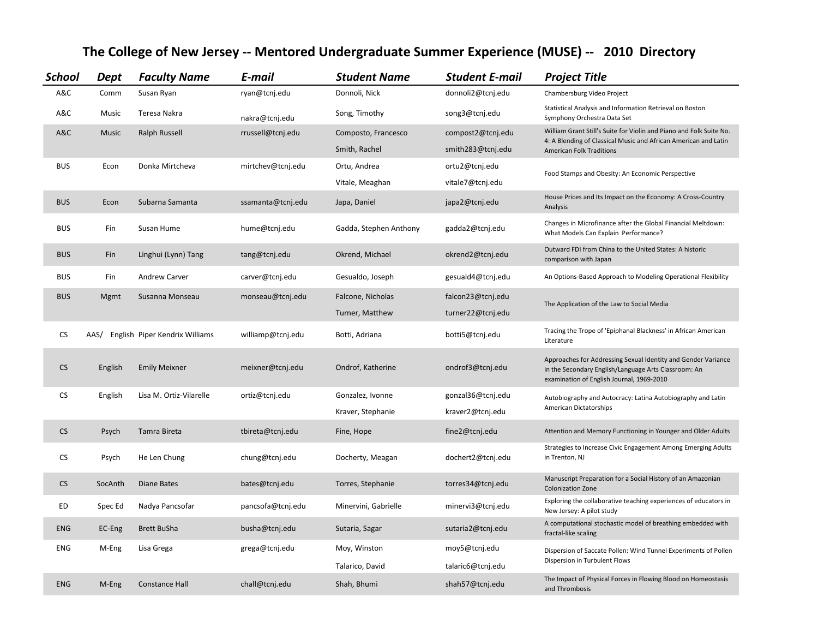| <b>School</b> | Dept    | <b>Faculty Name</b>            | E-mail            | <b>Student Name</b>    | <b>Student E-mail</b> | <b>Project Title</b>                                                                                                                                                      |
|---------------|---------|--------------------------------|-------------------|------------------------|-----------------------|---------------------------------------------------------------------------------------------------------------------------------------------------------------------------|
| A&C           | Comm    | Susan Ryan                     | ryan@tcnj.edu     | Donnoli, Nick          | donnoli2@tcnj.edu     | Chambersburg Video Project                                                                                                                                                |
| A&C           | Music   | Teresa Nakra                   | nakra@tcnj.edu    | Song, Timothy          | song3@tcnj.edu        | Statistical Analysis and Information Retrieval on Boston<br>Symphony Orchestra Data Set                                                                                   |
| A&C           | Music   | <b>Ralph Russell</b>           | rrussell@tcnj.edu | Composto, Francesco    | compost2@tcnj.edu     | William Grant Still's Suite for Violin and Piano and Folk Suite No.<br>4: A Blending of Classical Music and African American and Latin<br><b>American Folk Traditions</b> |
|               |         |                                |                   | Smith, Rachel          | smith283@tcnj.edu     |                                                                                                                                                                           |
| <b>BUS</b>    | Econ    | Donka Mirtcheva                | mirtchev@tcnj.edu | Ortu, Andrea           | ortu2@tcnj.edu        | Food Stamps and Obesity: An Economic Perspective                                                                                                                          |
|               |         |                                |                   | Vitale, Meaghan        | vitale7@tcnj.edu      |                                                                                                                                                                           |
| <b>BUS</b>    | Econ    | Subarna Samanta                | ssamanta@tcnj.edu | Japa, Daniel           | japa2@tcnj.edu        | House Prices and Its Impact on the Economy: A Cross-Country<br>Analysis                                                                                                   |
| <b>BUS</b>    | Fin     | Susan Hume                     | hume@tcnj.edu     | Gadda, Stephen Anthony | gadda2@tcnj.edu       | Changes in Microfinance after the Global Financial Meltdown:<br>What Models Can Explain Performance?                                                                      |
| <b>BUS</b>    | Fin     | Linghui (Lynn) Tang            | tang@tcnj.edu     | Okrend, Michael        | okrend2@tcnj.edu      | Outward FDI from China to the United States: A historic<br>comparison with Japan                                                                                          |
| <b>BUS</b>    | Fin     | Andrew Carver                  | carver@tcnj.edu   | Gesualdo, Joseph       | gesuald4@tcnj.edu     | An Options-Based Approach to Modeling Operational Flexibility                                                                                                             |
| <b>BUS</b>    | Mgmt    | Susanna Monseau                | monseau@tcnj.edu  | Falcone, Nicholas      | falcon23@tcnj.edu     |                                                                                                                                                                           |
|               |         |                                |                   | Turner, Matthew        | turner22@tcnj.edu     | The Application of the Law to Social Media                                                                                                                                |
| <b>CS</b>     | AAS/    | English Piper Kendrix Williams | williamp@tcnj.edu | Botti, Adriana         | botti5@tcnj.edu       | Tracing the Trope of 'Epiphanal Blackness' in African American<br>Literature                                                                                              |
| <b>CS</b>     | English | <b>Emily Meixner</b>           | meixner@tcnj.edu  | Ondrof, Katherine      | ondrof3@tcnj.edu      | Approaches for Addressing Sexual Identity and Gender Variance<br>in the Secondary English/Language Arts Classroom: An<br>examination of English Journal, 1969-2010        |
| <b>CS</b>     | English | Lisa M. Ortiz-Vilarelle        | ortiz@tcnj.edu    | Gonzalez, Ivonne       | gonzal36@tcnj.edu     | Autobiography and Autocracy: Latina Autobiography and Latin                                                                                                               |
|               |         |                                |                   | Kraver, Stephanie      | kraver2@tcnj.edu      | American Dictatorships                                                                                                                                                    |
| <b>CS</b>     | Psych   | Tamra Bireta                   | tbireta@tcnj.edu  | Fine, Hope             | fine2@tcnj.edu        | Attention and Memory Functioning in Younger and Older Adults                                                                                                              |
| CS            | Psych   | He Len Chung                   | chung@tcnj.edu    | Docherty, Meagan       | dochert2@tcnj.edu     | Strategies to Increase Civic Engagement Among Emerging Adults<br>in Trenton, NJ                                                                                           |
| <b>CS</b>     | SocAnth | Diane Bates                    | bates@tcnj.edu    | Torres, Stephanie      | torres34@tcnj.edu     | Manuscript Preparation for a Social History of an Amazonian<br><b>Colonization Zone</b>                                                                                   |
| ED            | Spec Ed | Nadya Pancsofar                | pancsofa@tcnj.edu | Minervini, Gabrielle   | minervi3@tcnj.edu     | Exploring the collaborative teaching experiences of educators in<br>New Jersey: A pilot study                                                                             |
| <b>ENG</b>    | EC-Eng  | <b>Brett BuSha</b>             | busha@tcnj.edu    | Sutaria, Sagar         | sutaria2@tcnj.edu     | A computational stochastic model of breathing embedded with<br>fractal-like scaling                                                                                       |
| <b>ENG</b>    | M-Eng   | Lisa Grega                     | grega@tcnj.edu    | Moy, Winston           | moy5@tcnj.edu         | Dispersion of Saccate Pollen: Wind Tunnel Experiments of Pollen                                                                                                           |
|               |         |                                |                   | Talarico, David        | talaric6@tcnj.edu     | Dispersion in Turbulent Flows                                                                                                                                             |
| <b>ENG</b>    | M-Eng   | <b>Constance Hall</b>          | chall@tcnj.edu    | Shah, Bhumi            | shah57@tcnj.edu       | The Impact of Physical Forces in Flowing Blood on Homeostasis<br>and Thrombosis                                                                                           |

## **The College of New Jersey -- Mentored Undergraduate Summer Experience (MUSE) -- 2010 Directory**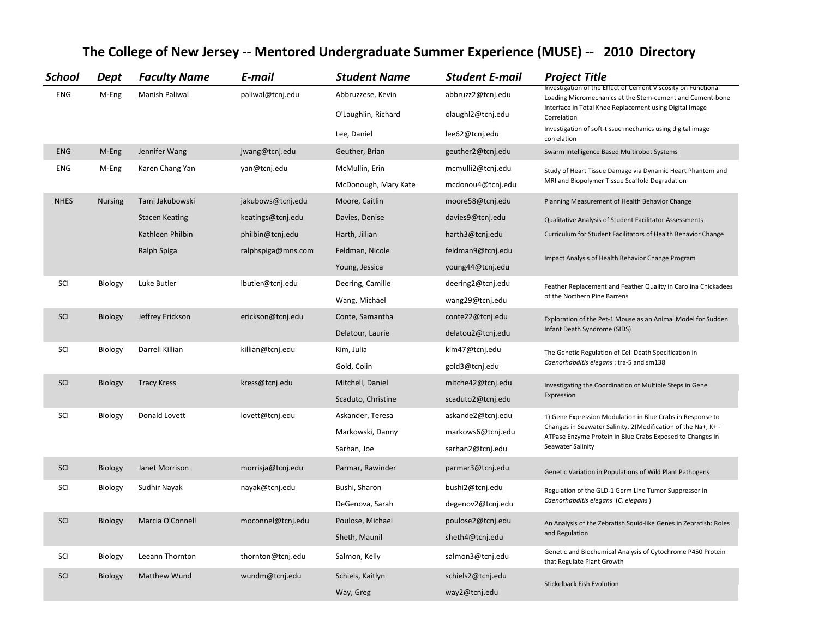| <b>School</b> | Dept           | <b>Faculty Name</b>   | E-mail             | <b>Student Name</b>  | <b>Student E-mail</b> | <b>Project Title</b>                                                                                                        |
|---------------|----------------|-----------------------|--------------------|----------------------|-----------------------|-----------------------------------------------------------------------------------------------------------------------------|
| <b>ENG</b>    | M-Eng          | <b>Manish Paliwal</b> | paliwal@tcnj.edu   | Abbruzzese, Kevin    | abbruzz2@tcnj.edu     | Investigation of the Effect of Cement Viscosity on Functional<br>Loading Micromechanics at the Stem-cement and Cement-bone  |
|               |                |                       |                    | O'Laughlin, Richard  | olaughl2@tcnj.edu     | Interface in Total Knee Replacement using Digital Image<br>Correlation                                                      |
|               |                |                       |                    | Lee, Daniel          | lee62@tcnj.edu        | Investigation of soft-tissue mechanics using digital image<br>correlation                                                   |
| <b>ENG</b>    | M-Eng          | Jennifer Wang         | jwang@tcnj.edu     | Geuther, Brian       | geuther2@tcnj.edu     | Swarm Intelligence Based Multirobot Systems                                                                                 |
| <b>ENG</b>    | M-Eng          | Karen Chang Yan       | yan@tcnj.edu       | McMullin, Erin       | mcmulli2@tcnj.edu     | Study of Heart Tissue Damage via Dynamic Heart Phantom and<br>MRI and Biopolymer Tissue Scaffold Degradation                |
|               |                |                       |                    | McDonough, Mary Kate | mcdonou4@tcnj.edu     |                                                                                                                             |
| <b>NHES</b>   | <b>Nursing</b> | Tami Jakubowski       | jakubows@tcnj.edu  | Moore, Caitlin       | moore58@tcnj.edu      | Planning Measurement of Health Behavior Change                                                                              |
|               |                | <b>Stacen Keating</b> | keatings@tcnj.edu  | Davies, Denise       | davies9@tcnj.edu      | Qualitative Analysis of Student Facilitator Assessments                                                                     |
|               |                | Kathleen Philbin      | philbin@tcnj.edu   | Harth, Jillian       | harth3@tcnj.edu       | Curriculum for Student Facilitators of Health Behavior Change                                                               |
|               |                | Ralph Spiga           | ralphspiga@mns.com | Feldman, Nicole      | feldman9@tcnj.edu     | Impact Analysis of Health Behavior Change Program                                                                           |
|               |                |                       |                    | Young, Jessica       | young44@tcnj.edu      |                                                                                                                             |
| SCI           | Biology        | Luke Butler           | lbutler@tcnj.edu   | Deering, Camille     | deering2@tcnj.edu     | Feather Replacement and Feather Quality in Carolina Chickadees                                                              |
|               |                |                       |                    | Wang, Michael        | wang29@tcnj.edu       | of the Northern Pine Barrens                                                                                                |
| SCI           | Biology        | Jeffrey Erickson      | erickson@tcnj.edu  | Conte, Samantha      | conte22@tcnj.edu      | Exploration of the Pet-1 Mouse as an Animal Model for Sudden                                                                |
|               |                |                       |                    | Delatour, Laurie     | delatou2@tcnj.edu     | Infant Death Syndrome (SIDS)                                                                                                |
| SCI           | Biology        | Darrell Killian       | killian@tcnj.edu   | Kim, Julia           | kim47@tcnj.edu        | The Genetic Regulation of Cell Death Specification in                                                                       |
|               |                |                       |                    | Gold, Colin          | gold3@tcnj.edu        | Caenorhabditis elegans: tra-5 and sm138                                                                                     |
| SCI           | Biology        | <b>Tracy Kress</b>    | kress@tcnj.edu     | Mitchell, Daniel     | mitche42@tcnj.edu     | Investigating the Coordination of Multiple Steps in Gene                                                                    |
|               |                |                       |                    | Scaduto, Christine   | scaduto2@tcnj.edu     | Expression                                                                                                                  |
| SCI           | Biology        | Donald Lovett         | lovett@tcnj.edu    | Askander, Teresa     | askande2@tcnj.edu     | 1) Gene Expression Modulation in Blue Crabs in Response to                                                                  |
|               |                |                       |                    | Markowski, Danny     | markows6@tcnj.edu     | Changes in Seawater Salinity. 2) Modification of the Na+, K+ -<br>ATPase Enzyme Protein in Blue Crabs Exposed to Changes in |
|               |                |                       |                    | Sarhan, Joe          | sarhan2@tcnj.edu      | Seawater Salinity                                                                                                           |
| SCI           | Biology        | Janet Morrison        | morrisja@tcnj.edu  | Parmar, Rawinder     | parmar3@tcnj.edu      | Genetic Variation in Populations of Wild Plant Pathogens                                                                    |
| SCI           | Biology        | Sudhir Nayak          | nayak@tcnj.edu     | Bushi, Sharon        | bushi2@tcnj.edu       | Regulation of the GLD-1 Germ Line Tumor Suppressor in                                                                       |
|               |                |                       |                    | DeGenova, Sarah      | degenov2@tcnj.edu     | Caenorhabditis elegans (C. elegans)                                                                                         |
| SCI           | Biology        | Marcia O'Connell      | moconnel@tcnj.edu  | Poulose, Michael     | poulose2@tcnj.edu     | An Analysis of the Zebrafish Squid-like Genes in Zebrafish: Roles<br>and Regulation                                         |
|               |                |                       |                    | Sheth, Maunil        | sheth4@tcnj.edu       |                                                                                                                             |
| SCI           | Biology        | Leeann Thornton       | thornton@tcnj.edu  | Salmon, Kelly        | salmon3@tcnj.edu      | Genetic and Biochemical Analysis of Cytochrome P450 Protein<br>that Regulate Plant Growth                                   |
| SCI           | Biology        | <b>Matthew Wund</b>   | wundm@tcnj.edu     | Schiels, Kaitlyn     | schiels2@tcnj.edu     | <b>Stickelback Fish Evolution</b>                                                                                           |
|               |                |                       |                    | Way, Greg            | way2@tcnj.edu         |                                                                                                                             |

## **The College of New Jersey -- Mentored Undergraduate Summer Experience (MUSE) -- 2010 Directory**